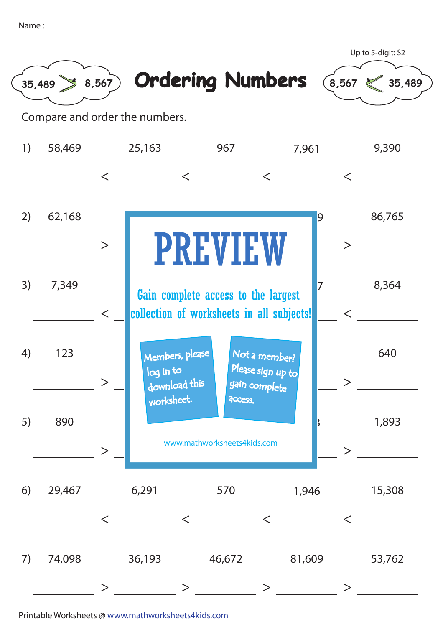| Name |  |
|------|--|
|      |  |
|      |  |



Compare and order the numbers.

| 1) | 58,469 |          | 25,163                                        | 967                                                                              | 7,961                                               |               | 9,390  |
|----|--------|----------|-----------------------------------------------|----------------------------------------------------------------------------------|-----------------------------------------------------|---------------|--------|
|    |        | $\lt$    |                                               | $\lt$                                                                            | $\lt$                                               | $\lt$         |        |
| 2) | 62,168 | $\geq$   |                                               | <b>PREVIEW</b>                                                                   |                                                     | 9<br>$\rm{>}$ | 86,765 |
| 3) | 7,349  | $\lt$    |                                               | Gain complete access to the largest<br>collection of worksheets in all subjects! |                                                     | 7<br>$\lt$    | 8,364  |
| 4) | 123    | $\rm{>}$ | Members, please<br>log in to<br>download this |                                                                                  | Not a member?<br>Please sign up to<br>gain complete |               | 640    |
| 5) | 890    | $\rm{>}$ | worksheet.                                    | access.<br>www.mathworksheets4kids.com                                           |                                                     |               | 1,893  |
| 6) | 29,467 | $\lt$    | 6,291                                         | 570<br>$\lt$                                                                     | 1,946<br>$\lt$                                      | $\lt$         | 15,308 |
| 7) | 74,098 |          | 36,193                                        | 46,672                                                                           | 81,609                                              |               | 53,762 |

Printable Worksheets @ www.mathworksheets4kids.com